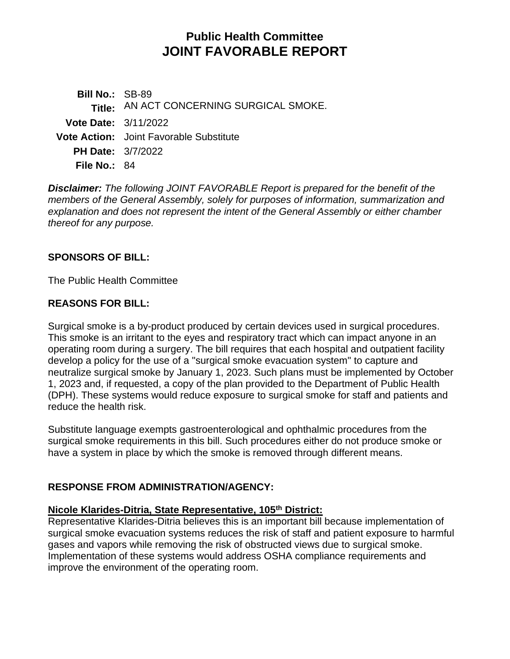# **Public Health Committee JOINT FAVORABLE REPORT**

**Bill No.:** SB-89 **Title:** AN ACT CONCERNING SURGICAL SMOKE. **Vote Date:** 3/11/2022 **Vote Action:** Joint Favorable Substitute **PH Date:** 3/7/2022 **File No.:** 84

*Disclaimer: The following JOINT FAVORABLE Report is prepared for the benefit of the members of the General Assembly, solely for purposes of information, summarization and explanation and does not represent the intent of the General Assembly or either chamber thereof for any purpose.*

## **SPONSORS OF BILL:**

The Public Health Committee

## **REASONS FOR BILL:**

Surgical smoke is a by-product produced by certain devices used in surgical procedures. This smoke is an irritant to the eyes and respiratory tract which can impact anyone in an operating room during a surgery. The bill requires that each hospital and outpatient facility develop a policy for the use of a "surgical smoke evacuation system" to capture and neutralize surgical smoke by January 1, 2023. Such plans must be implemented by October 1, 2023 and, if requested, a copy of the plan provided to the Department of Public Health (DPH). These systems would reduce exposure to surgical smoke for staff and patients and reduce the health risk.

Substitute language exempts gastroenterological and ophthalmic procedures from the surgical smoke requirements in this bill. Such procedures either do not produce smoke or have a system in place by which the smoke is removed through different means.

# **RESPONSE FROM ADMINISTRATION/AGENCY:**

## **Nicole Klarides-Ditria, State Representative, 105th District:**

Representative Klarides-Ditria believes this is an important bill because implementation of surgical smoke evacuation systems reduces the risk of staff and patient exposure to harmful gases and vapors while removing the risk of obstructed views due to surgical smoke. Implementation of these systems would address OSHA compliance requirements and improve the environment of the operating room.